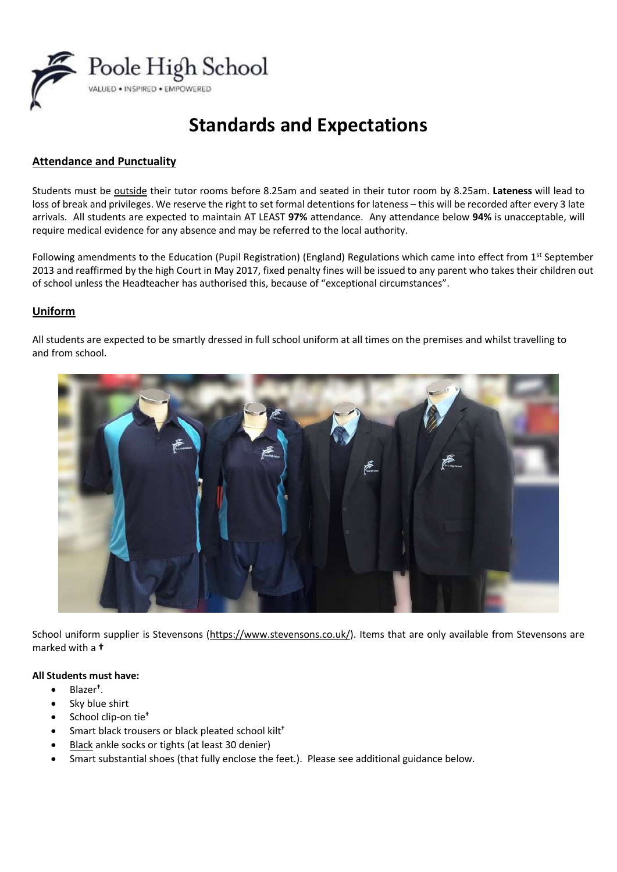

# **Standards and Expectations**

# **Attendance and Punctuality**

Students must be outside their tutor rooms before 8.25am and seated in their tutor room by 8.25am. **Lateness** will lead to loss of break and privileges. We reserve the right to set formal detentions for lateness – this will be recorded after every 3 late arrivals. All students are expected to maintain AT LEAST **97%** attendance. Any attendance below **94%** is unacceptable, will require medical evidence for any absence and may be referred to the local authority.

Following amendments to the Education (Pupil Registration) (England) Regulations which came into effect from  $1^{st}$  September 2013 and reaffirmed by the high Court in May 2017, fixed penalty fines will be issued to any parent who takes their children out of school unless the Headteacher has authorised this, because of "exceptional circumstances".

# **Uniform**

All students are expected to be smartly dressed in full school uniform at all times on the premises and whilst travelling to and from school.



School uniform supplier is Stevensons [\(https://www.stevensons.co.uk/\)](https://www.stevensons.co.uk/). Items that are only available from Stevensons are marked with a **†**

## **All Students must have:**

- Blazer**†** .
- Sky blue shirt
- School clip-on tie**†**
- Smart black trousers or black pleated school kilt**†**
- Black ankle socks or tights (at least 30 denier)
- Smart substantial shoes (that fully enclose the feet.). Please see additional guidance below.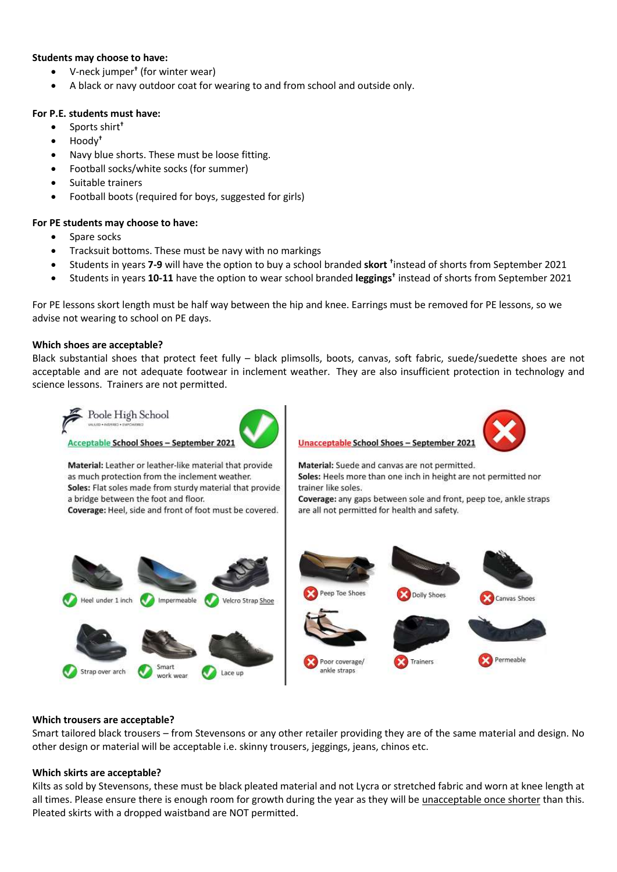#### **Students may choose to have:**

- V-neck jumper**†** (for winter wear)
- A black or navy outdoor coat for wearing to and from school and outside only.

## **For P.E. students must have:**

- Sports shirt**†**
- Hoody**†**
- Navy blue shorts. These must be loose fitting.
- Football socks/white socks (for summer)
- Suitable trainers
- Football boots (required for boys, suggested for girls)

## **For PE students may choose to have:**

- Spare socks
- Tracksuit bottoms. These must be navy with no markings
- Students in years **7-9** will have the option to buy a school branded **skort †** instead of shorts from September 2021
- Students in years **10-11** have the option to wear school branded **leggings†** instead of shorts from September 2021

For PE lessons skort length must be half way between the hip and knee. Earrings must be removed for PE lessons, so we advise not wearing to school on PE days.

## **Which shoes are acceptable?**

Black substantial shoes that protect feet fully – black plimsolls, boots, canvas, soft fabric, suede/suedette shoes are not acceptable and are not adequate footwear in inclement weather. They are also insufficient protection in technology and science lessons. Trainers are not permitted.



#### **Which trousers are acceptable?**

Smart tailored black trousers – from Stevensons or any other retailer providing they are of the same material and design. No other design or material will be acceptable i.e. skinny trousers, jeggings, jeans, chinos etc.

## **Which skirts are acceptable?**

Kilts as sold by Stevensons, these must be black pleated material and not Lycra or stretched fabric and worn at knee length at all times. Please ensure there is enough room for growth during the year as they will be unacceptable once shorter than this. Pleated skirts with a dropped waistband are NOT permitted.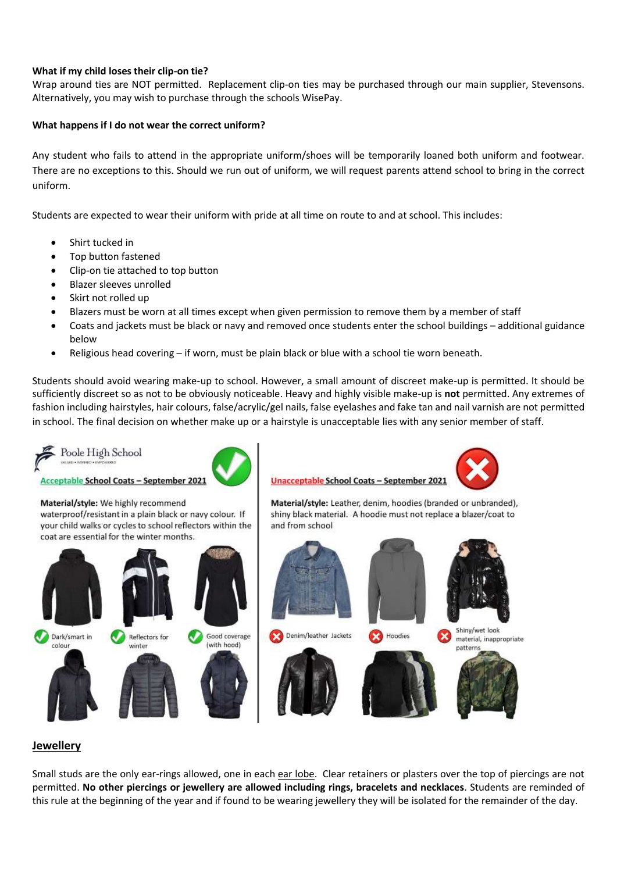## **What if my child loses their clip-on tie?**

Wrap around ties are NOT permitted. Replacement clip-on ties may be purchased through our main supplier, Stevensons. Alternatively, you may wish to purchase through the schools WisePay.

## **What happens if I do not wear the correct uniform?**

Any student who fails to attend in the appropriate uniform/shoes will be temporarily loaned both uniform and footwear. There are no exceptions to this. Should we run out of uniform, we will request parents attend school to bring in the correct uniform.

Students are expected to wear their uniform with pride at all time on route to and at school. This includes:

- Shirt tucked in
- Top button fastened
- Clip-on tie attached to top button
- Blazer sleeves unrolled
- Skirt not rolled up
- Blazers must be worn at all times except when given permission to remove them by a member of staff
- Coats and jackets must be black or navy and removed once students enter the school buildings additional guidance below
- Religious head covering if worn, must be plain black or blue with a school tie worn beneath.

Students should avoid wearing make-up to school. However, a small amount of discreet make-up is permitted. It should be sufficiently discreet so as not to be obviously noticeable. Heavy and highly visible make-up is **not** permitted. Any extremes of fashion including hairstyles, hair colours, false/acrylic/gel nails, false eyelashes and fake tan and nail varnish are not permitted in school. The final decision on whether make up or a hairstyle is unacceptable lies with any senior member of staff.



**Acceptable School Coats - September 2021** 

## Material/style: We highly recommend

waterproof/resistant in a plain black or navy colour. If your child walks or cycles to school reflectors within the coat are essential for the winter months.





**Unacceptable School Coats - September 2021** 



Material/style: Leather, denim, hoodies (branded or unbranded), shiny black material. A hoodie must not replace a blazer/coat to and from school



## **Jewellery**

Small studs are the only ear-rings allowed, one in each ear lobe. Clear retainers or plasters over the top of piercings are not permitted. **No other piercings or jewellery are allowed including rings, bracelets and necklaces**. Students are reminded of this rule at the beginning of the year and if found to be wearing jewellery they will be isolated for the remainder of the day.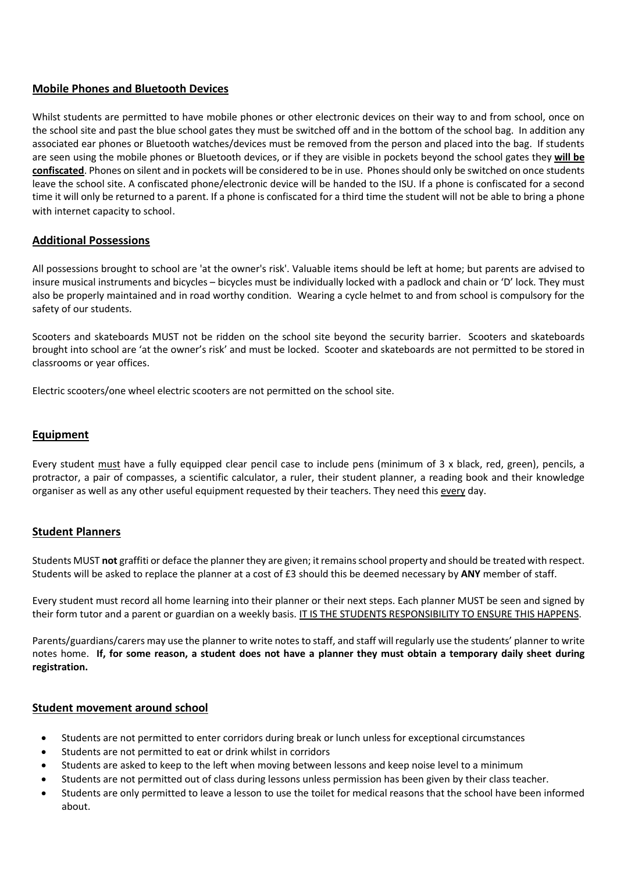# **Mobile Phones and Bluetooth Devices**

Whilst students are permitted to have mobile phones or other electronic devices on their way to and from school, once on the school site and past the blue school gates they must be switched off and in the bottom of the school bag. In addition any associated ear phones or Bluetooth watches/devices must be removed from the person and placed into the bag. If students are seen using the mobile phones or Bluetooth devices, or if they are visible in pockets beyond the school gates they **will be confiscated**. Phones on silent and in pockets will be considered to be in use. Phones should only be switched on once students leave the school site. A confiscated phone/electronic device will be handed to the ISU. If a phone is confiscated for a second time it will only be returned to a parent. If a phone is confiscated for a third time the student will not be able to bring a phone with internet capacity to school.

## **Additional Possessions**

All possessions brought to school are 'at the owner's risk'. Valuable items should be left at home; but parents are advised to insure musical instruments and bicycles – bicycles must be individually locked with a padlock and chain or 'D' lock. They must also be properly maintained and in road worthy condition. Wearing a cycle helmet to and from school is compulsory for the safety of our students.

Scooters and skateboards MUST not be ridden on the school site beyond the security barrier. Scooters and skateboards brought into school are 'at the owner's risk' and must be locked. Scooter and skateboards are not permitted to be stored in classrooms or year offices.

Electric scooters/one wheel electric scooters are not permitted on the school site.

## **Equipment**

Every student must have a fully equipped clear pencil case to include pens (minimum of 3 x black, red, green), pencils, a protractor, a pair of compasses, a scientific calculator, a ruler, their student planner, a reading book and their knowledge organiser as well as any other useful equipment requested by their teachers. They need this every day.

## **Student Planners**

Students MUST **not** graffiti or deface the planner they are given; it remains school property and should be treated with respect. Students will be asked to replace the planner at a cost of £3 should this be deemed necessary by **ANY** member of staff.

Every student must record all home learning into their planner or their next steps. Each planner MUST be seen and signed by their form tutor and a parent or guardian on a weekly basis. IT IS THE STUDENTS RESPONSIBILITY TO ENSURE THIS HAPPENS.

Parents/guardians/carers may use the planner to write notes to staff, and staff will regularly use the students' planner to write notes home. **If, for some reason, a student does not have a planner they must obtain a temporary daily sheet during registration.**

## **Student movement around school**

- Students are not permitted to enter corridors during break or lunch unless for exceptional circumstances
- Students are not permitted to eat or drink whilst in corridors
- Students are asked to keep to the left when moving between lessons and keep noise level to a minimum
- Students are not permitted out of class during lessons unless permission has been given by their class teacher.
- Students are only permitted to leave a lesson to use the toilet for medical reasons that the school have been informed about.